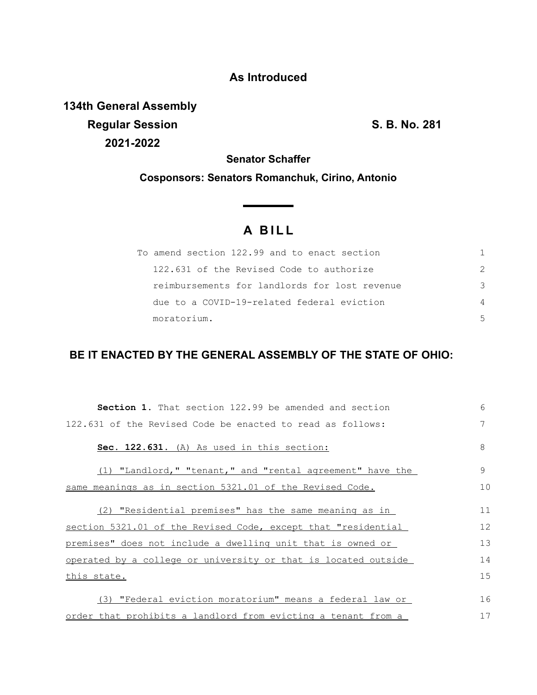## **As Introduced**

**134th General Assembly Regular Session S. B. No. 281 2021-2022**

**Senator Schaffer**

**Cosponsors: Senators Romanchuk, Cirino, Antonio**

## **A B I L L**

<u> The Common State State Sta</u>te

| To amend section 122.99 and to enact section  |               |
|-----------------------------------------------|---------------|
| 122.631 of the Revised Code to authorize      | $\mathcal{P}$ |
| reimbursements for landlords for lost revenue | 3             |
| due to a COVID-19-related federal eviction    | 4             |
| moratorium.                                   | 5             |

## **BE IT ENACTED BY THE GENERAL ASSEMBLY OF THE STATE OF OHIO:**

| Section 1. That section 122.99 be amended and section          | 6            |
|----------------------------------------------------------------|--------------|
| 122.631 of the Revised Code be enacted to read as follows:     | 7            |
| Sec. 122.631. (A) As used in this section:                     | 8            |
| (1) "Landlord," "tenant," and "rental agreement" have the      | $\mathsf{Q}$ |
| same meanings as in section 5321.01 of the Revised Code.       | 10           |
| (2) "Residential premises" has the same meaning as in          | 11           |
| section 5321.01 of the Revised Code, except that "residential  | 12           |
| premises" does not include a dwelling unit that is owned or    | 13           |
| operated by a college or university or that is located outside | 14           |
| this state.                                                    | 15           |
| (3) "Federal eviction moratorium" means a federal law or       | 16           |
| order that prohibits a landlord from evicting a tenant from a  | 17           |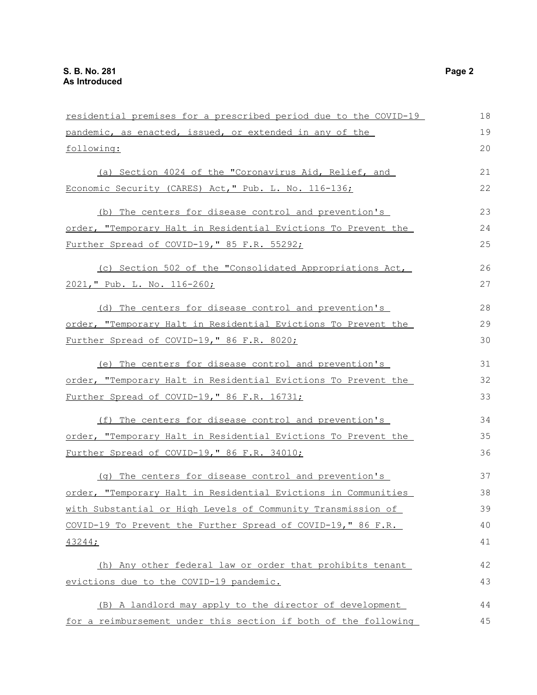| residential premises for a prescribed period due to the COVID-19 |    |
|------------------------------------------------------------------|----|
| pandemic, as enacted, issued, or extended in any of the          | 19 |
| following:                                                       | 20 |
| (a) Section 4024 of the "Coronavirus Aid, Relief, and            | 21 |
| Economic Security (CARES) Act, " Pub. L. No. 116-136;            | 22 |
| (b) The centers for disease control and prevention's             | 23 |
| order, "Temporary Halt in Residential Evictions To Prevent the   | 24 |
| Further Spread of COVID-19," 85 F.R. 55292;                      | 25 |
| (c) Section 502 of the "Consolidated Appropriations Act,         | 26 |
| 2021, " Pub. L. No. 116-260;                                     | 27 |
| (d) The centers for disease control and prevention's             | 28 |
| order, "Temporary Halt in Residential Evictions To Prevent the   | 29 |
| Further Spread of COVID-19," 86 F.R. 8020;                       | 30 |
| (e) The centers for disease control and prevention's             | 31 |
| order, "Temporary Halt in Residential Evictions To Prevent the   | 32 |
| Further Spread of COVID-19," 86 F.R. 16731;                      | 33 |
| (f) The centers for disease control and prevention's             | 34 |
| order, "Temporary Halt in Residential Evictions To Prevent the   | 35 |
| Further Spread of COVID-19," 86 F.R. 34010;                      | 36 |
| (g) The centers for disease control and prevention's             | 37 |
| order, "Temporary Halt in Residential Evictions in Communities   | 38 |
| with Substantial or High Levels of Community Transmission of     | 39 |
| COVID-19 To Prevent the Further Spread of COVID-19," 86 F.R.     | 40 |
| 43244;                                                           | 41 |
| (h) Any other federal law or order that prohibits tenant         | 42 |
| evictions due to the COVID-19 pandemic.                          | 43 |
| (B) A landlord may apply to the director of development          | 44 |
| for a reimbursement under this section if both of the following  | 45 |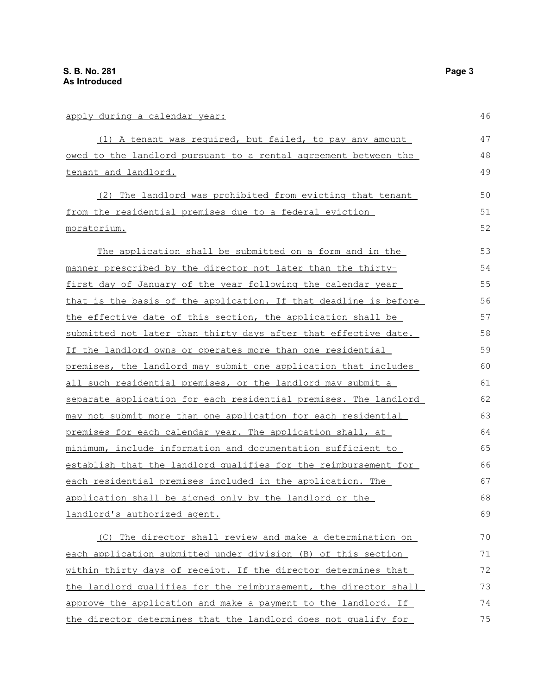## apply during a calendar year:

| apply during a calendar year:                                       | 46 |
|---------------------------------------------------------------------|----|
| (1) A tenant was required, but failed, to pay any amount            | 47 |
| owed to the landlord pursuant to a rental agreement between the     | 48 |
| tenant and landlord.                                                |    |
| (2) The landlord was prohibited from evicting that tenant           | 50 |
| from the residential premises due to a federal eviction             | 51 |
| moratorium.                                                         | 52 |
| The application shall be submitted on a form and in the             | 53 |
| manner prescribed by the director not later than the thirty-        | 54 |
| <u>first day of January of the year following the calendar year</u> | 55 |
| that is the basis of the application. If that deadline is before    | 56 |
| the effective date of this section, the application shall be        | 57 |
| submitted not later than thirty days after that effective date.     | 58 |
| If the landlord owns or operates more than one residential          | 59 |
| premises, the landlord may submit one application that includes     | 60 |
| all such residential premises, or the landlord may submit a         | 61 |
| separate application for each residential premises. The landlord    | 62 |
| may not submit more than one application for each residential       | 63 |
| premises for each calendar year. The application shall, at          | 64 |
| minimum, include information and documentation sufficient to        | 65 |
| establish that the landlord qualifies for the reimbursement for     | 66 |
| each residential premises included in the application. The          | 67 |
| application shall be signed only by the landlord or the             | 68 |
| landlord's authorized agent.                                        | 69 |
| (C) The director shall review and make a determination on           | 70 |
| each application submitted under division (B) of this section       | 71 |
| within thirty days of receipt. If the director determines that      | 72 |
| the landlord qualifies for the reimbursement, the director shall    | 73 |
| approve the application and make a payment to the landlord. If      | 74 |
| the director determines that the landlord does not qualify for      | 75 |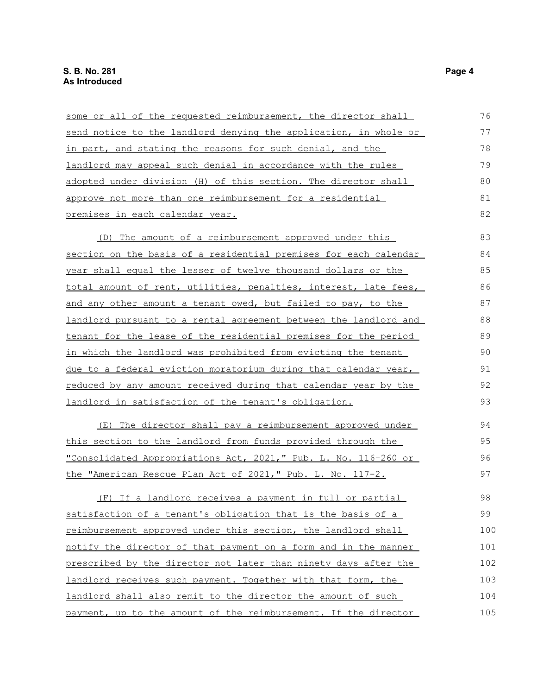| some or all of the requested reimbursement, the director shall   | 76  |
|------------------------------------------------------------------|-----|
| send notice to the landlord denying the application, in whole or | 77  |
| in part, and stating the reasons for such denial, and the        | 78  |
| landlord may appeal such denial in accordance with the rules     | 79  |
| adopted under division (H) of this section. The director shall   | 80  |
| approve not more than one reimbursement for a residential        | 81  |
| premises in each calendar year.                                  | 82  |
| (D) The amount of a reimbursement approved under this            | 83  |
| section on the basis of a residential premises for each calendar | 84  |
| year shall equal the lesser of twelve thousand dollars or the    | 85  |
| total amount of rent, utilities, penalties, interest, late fees, | 86  |
| and any other amount a tenant owed, but failed to pay, to the    | 87  |
| landlord pursuant to a rental agreement between the landlord and | 88  |
| tenant for the lease of the residential premises for the period  | 89  |
| in which the landlord was prohibited from evicting the tenant    | 90  |
| due to a federal eviction moratorium during that calendar year,  | 91  |
| reduced by any amount received during that calendar year by the  | 92  |
| landlord in satisfaction of the tenant's obligation.             | 93  |
| The director shall pay a reimbursement approved under<br>(E)     | 94  |
| this section to the landlord from funds provided through the     | 95  |
| "Consolidated Appropriations Act, 2021," Pub. L. No. 116-260 or  | 96  |
| the "American Rescue Plan Act of 2021," Pub. L. No. 117-2.       | 97  |
| (F) If a landlord receives a payment in full or partial          | 98  |
| satisfaction of a tenant's obligation that is the basis of a     | 99  |
| reimbursement approved under this section, the landlord shall    | 100 |
| notify the director of that payment on a form and in the manner  | 101 |
| prescribed by the director not later than ninety days after the  | 102 |
| landlord receives such payment. Together with that form, the     | 103 |
| landlord shall also remit to the director the amount of such     | 104 |
| payment, up to the amount of the reimbursement. If the director  | 105 |